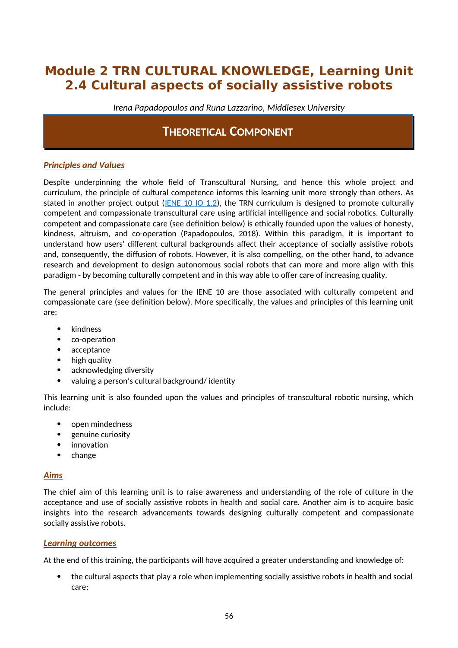# **Module 2 TRN CULTURAL KNOWLEDGE, Learning Unit 2.4 Cultural aspects of socially assistive robots**

*Irena Papadopoulos and Runa Lazzarino, Middlesex University*

## **THEORETICAL COMPONENT**

## *Principles and Values*

Despite underpinning the whole field of Transcultural Nursing, and hence this whole project and curriculum, the principle of cultural competence informs this learning unit more strongly than others. As stated in another project output [\(IENE 10 IO 1.2](https://ieneproject.eu/IENE10/about-outputs.php)), the TRN curriculum is designed to promote culturally competent and compassionate transcultural care using artificial intelligence and social robotics. Culturally competent and compassionate care (see definition below) is ethically founded upon the values of honesty, kindness, altruism, and co-operation (Papadopoulos, 2018). Within this paradigm, it is important to understand how users' different cultural backgrounds affect their acceptance of socially assistive robots and, consequently, the diffusion of robots. However, it is also compelling, on the other hand, to advance research and development to design autonomous social robots that can more and more align with this paradigm - by becoming culturally competent and in this way able to offer care of increasing quality.

The general principles and values for the IENE 10 are those associated with culturally competent and compassionate care (see definition below). More specifically, the values and principles of this learning unit are:

- kindness
- co-operation
- acceptance
- high quality
- acknowledging diversity
- valuing a person's cultural background/ identity

This learning unit is also founded upon the values and principles of transcultural robotic nursing, which include:

- open mindedness
- genuine curiosity
- innovation
- $\bullet$  change

## *Aims*

The chief aim of this learning unit is to raise awareness and understanding of the role of culture in the acceptance and use of socially assistive robots in health and social care. Another aim is to acquire basic insights into the research advancements towards designing culturally competent and compassionate socially assistive robots.

## *Learning outcomes*

At the end of this training, the participants will have acquired a greater understanding and knowledge of:

 the cultural aspects that play a role when implementing socially assistive robots in health and social care;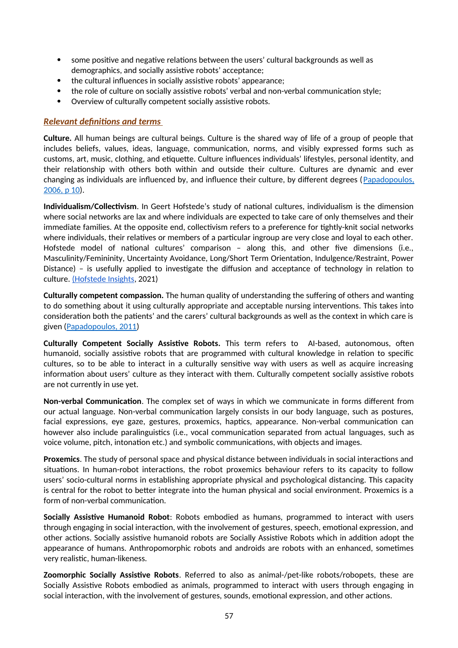- some positive and negative relations between the users' cultural backgrounds as well as demographics, and socially assistive robots' acceptance;
- the cultural influences in socially assistive robots' appearance;
- the role of culture on socially assistive robots' verbal and non-verbal communication style;
- Overview of culturally competent socially assistive robots.

### *Relevant definitions and terms*

**Culture.** All human beings are cultural beings. Culture is the shared way of life of a group of people that includes beliefs, values, ideas, language, communication, norms, and visibly expressed forms such as customs, art, music, clothing, and etiquette. Culture influences individuals' lifestyles, personal identity, and their relationship with others both within and outside their culture. Cultures are dynamic and ever changing as individuals are influenced by, and influence their culture, by different degrees ([Papadopoulos,](https://www.researchgate.net/publication/285849542_The_Papadopoulos_Tilki_and_Taylor_model_for_the_development_of_cultural_competence_in_nursing) [2006, p 10\)](https://www.researchgate.net/publication/285849542_The_Papadopoulos_Tilki_and_Taylor_model_for_the_development_of_cultural_competence_in_nursing).

**Individualism/Collectivism**. In Geert Hofstede's study of national cultures, individualism is the dimension where social networks are lax and where individuals are expected to take care of only themselves and their immediate families. At the opposite end, collectivism refers to a preference for tightly-knit social networks where individuals, their relatives or members of a particular ingroup are very close and loyal to each other. Hofstede model of national cultures' comparison – along this, and other five dimensions (i.e., Masculinity/Femininity, Uncertainty Avoidance, Long/Short Term Orientation, Indulgence/Restraint, Power Distance) – is usefully applied to investigate the diffusion and acceptance of technology in relation to culture. (Hofstede Insights, 2021)

**Culturally competent compassion.** The human quality of understanding the suffering of others and wanting to do something about it using culturally appropriate and acceptable nursing interventions. This takes into consideration both the patients' and the carers' cultural backgrounds as well as the context in which care is given [\(Papadopoulos, 2011\)](https://www.researchgate.net/publication/303885059_Courage_Compassion_and_Cultural_Competence_The_Anna_Reynvaan_Lecture_2011?_iepl%5BgeneralViewId%5D=yhV21bGZnkjrK3PdAUFayhWJxbdyCA5u151W&_iepl%5Bcontexts%5D%5B0%5D=searchReact&_iepl%5BviewId%5D=w1qPR81SRTbBSJYMoXa3g4iPMlqOXLBJCVWj&_iepl%5BsearchType%5D=publication&_iepl%5Bdata%5D%5BcountLessEqual20%5D=1&_iepl%5Bdata%5D%5BinteractedWithPosition1%5D=1&_iepl%5Bdata%5D%5BwithoutEnrichment%5D=1&_iepl%5Bposition%5D=1&_iepl%5BrgKey%5D=PB%3A303885059&_iepl%5BtargetEntityId%5D=PB%3A303885059&_iepl%5BinteractionType%5D=publicationTitle)

**Culturally Competent Socially Assistive Robots.** This term refers to AI-based, autonomous, often humanoid, socially assistive robots that are programmed with cultural knowledge in relation to specific cultures, so to be able to interact in a culturally sensitive way with users as well as acquire increasing information about users' culture as they interact with them. Culturally competent socially assistive robots are not currently in use yet.

**Non-verbal Communication**. The complex set of ways in which we communicate in forms different from our actual language. Non-verbal communication largely consists in our body language, such as postures, facial expressions, eye gaze, gestures, proxemics, haptics, appearance. Non-verbal communication can however also include paralinguistics (i.e., vocal communication separated from actual languages, such as voice volume, pitch, intonation etc.) and symbolic communications, with objects and images.

**Proxemics**. The study of personal space and physical distance between individuals in social interactions and situations. In human-robot interactions, the robot proxemics behaviour refers to its capacity to follow users' socio-cultural norms in establishing appropriate physical and psychological distancing. This capacity is central for the robot to better integrate into the human physical and social environment. Proxemics is a form of non-verbal communication.

**Socially Assistive Humanoid Robot**: Robots embodied as humans, programmed to interact with users through engaging in social interaction, with the involvement of gestures, speech, emotional expression, and other actions. Socially assistive humanoid robots are Socially Assistive Robots which in addition adopt the appearance of humans. Anthropomorphic robots and androids are robots with an enhanced, sometimes very realistic, human-likeness.

**Zoomorphic Socially Assistive Robots**. Referred to also as animal-/pet-like robots/robopets, these are Socially Assistive Robots embodied as animals, programmed to interact with users through engaging in social interaction, with the involvement of gestures, sounds, emotional expression, and other actions.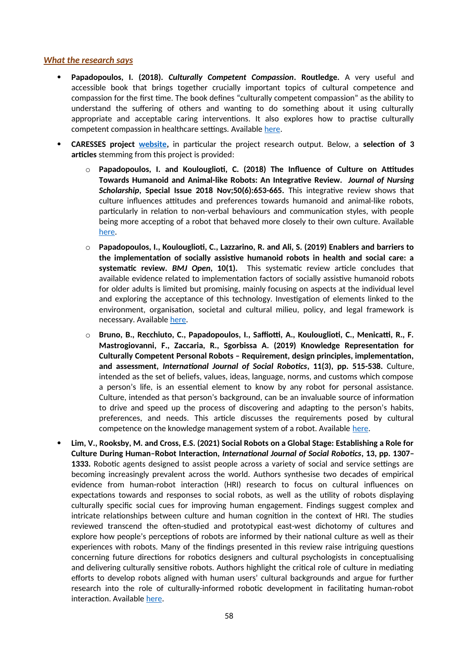#### *What the research says*

- **Papadopoulos, I. (2018).** *Culturally Competent Compassion***. Routledge.** A very useful and accessible book that brings together crucially important topics of cultural competence and compassion for the first time. The book defines "culturally competent compassion" as the ability to understand the suffering of others and wanting to do something about it using culturally appropriate and acceptable caring interventions. It also explores how to practise culturally competent compassion in healthcare settings. Available [here](https://www.routledge.com/Culturally-Competent-Compassion-A-Guide-for-Healthcare-Students-and-Practitioners/Papadopoulos/p/book/9781138674905).
- **CARESSES project [website,](url:%20http://caressesrobot.org/en/category/research/)** in particular the project research output. Below, a **selection of 3 articles** stemming from this project is provided:
	- o **Papadopoulos, I. and Koulouglioti, C. (2018) The Influence of Culture on Attitudes Towards Humanoid and Animal-like Robots: An Integrative Review.** *Journal of Nursing Scholarship***, Special Issue 2018 Nov;50(6):653-665.** This integrative review shows that culture influences attitudes and preferences towards humanoid and animal-like robots, particularly in relation to non-verbal behaviours and communication styles, with people being more accepting of a robot that behaved more closely to their own culture. Available [here](https://www.researchgate.net/publication/327069354_The_Influence_of_Culture_on_Attitudes_Towards_Humanoid_and_Animallike_Robots_An_Integrative_Review_IN_PRESS_Full_reference_will_be_provided_after_the_publication).
	- o **Papadopoulos, I., Koulouglioti, C., Lazzarino, R. and Ali, S. (2019) Enablers and barriers to the implementation of socially assistive humanoid robots in health and social care: a systematic review.** *BMJ Open***, 10(1).** This systematic review article concludes that available evidence related to implementation factors of socially assistive humanoid robots for older adults is limited but promising, mainly focusing on aspects at the individual level and exploring the acceptance of this technology. Investigation of elements linked to the environment, organisation, societal and cultural milieu, policy, and legal framework is necessary. Available [here.](https://bmjopen.bmj.com/content/bmjopen/10/1/e033096.full.pdf)
	- o **Bruno, B., Recchiuto, C., Papadopoulos, I., Saffiotti, A., Koulouglioti, C., Menicatti, R., F. Mastrogiovanni, F., Zaccaria, R., Sgorbissa A. (2019) Knowledge Representation for Culturally Competent Personal Robots – Requirement, design principles, implementation, and assessment,** *International Journal of Social Robotics***, 11(3), pp. 515-538.** Culture, intended as the set of beliefs, values, ideas, language, norms, and customs which compose a person's life, is an essential element to know by any robot for personal assistance. Culture, intended as that person's background, can be an invaluable source of information to drive and speed up the process of discovering and adapting to the person's habits, preferences, and needs. This article discusses the requirements posed by cultural competence on the knowledge management system of a robot. Available [here](https://www.researchgate.net/publication/330691365_Knowledge_Representation_for_Culturally_Competent_Personal_Robots_Requirements_Design_Principles_Implementation_and_Assessment).
- **Lim, V., Rooksby, M. and Cross, E.S. (2021) Social Robots on a Global Stage: Establishing a Role for Culture During Human–Robot Interaction,** *International Journal of Social Robotics***, 13, pp. 1307– 1333.** Robotic agents designed to assist people across a variety of social and service settings are becoming increasingly prevalent across the world. Authors synthesise two decades of empirical evidence from human-robot interaction (HRI) research to focus on cultural influences on expectations towards and responses to social robots, as well as the utility of robots displaying culturally specific social cues for improving human engagement. Findings suggest complex and intricate relationships between culture and human cognition in the context of HRI. The studies reviewed transcend the often-studied and prototypical east-west dichotomy of cultures and explore how people's perceptions of robots are informed by their national culture as well as their experiences with robots. Many of the findings presented in this review raise intriguing questions concerning future directions for robotics designers and cultural psychologists in conceptualising and delivering culturally sensitive robots. Authors highlight the critical role of culture in mediating efforts to develop robots aligned with human users' cultural backgrounds and argue for further research into the role of culturally-informed robotic development in facilitating human-robot interaction. Available [here.](https://link.springer.com/article/10.1007%2Fs12369-020-00710-4)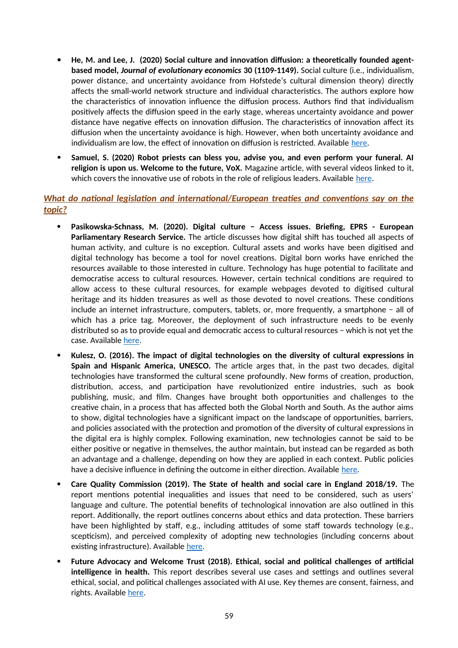- **He, M. and Lee, J. (2020) Social culture and innovation diffusion: a theoretically founded agentbased model,** *Journal of evolutionary economics* **30 (1109-1149).** Social culture (i.e., individualism, power distance, and uncertainty avoidance from Hofstede's cultural dimension theory) directly affects the small-world network structure and individual characteristics. The authors explore how the characteristics of innovation influence the diffusion process. Authors find that individualism positively affects the diffusion speed in the early stage, whereas uncertainty avoidance and power distance have negative effects on innovation diffusion. The characteristics of innovation affect its diffusion when the uncertainty avoidance is high. However, when both uncertainty avoidance and individualism are low, the effect of innovation on diffusion is restricted. Available [here](https://link.springer.com/article/10.1007/s00191-020-00665-9).
- **Samuel, S. (2020) Robot priests can bless you, advise you, and even perform your funeral. AI religion is upon us. Welcome to the future, VoX.** Magazine article, with several videos linked to it, which covers the innovative use of robots in the role of religious leaders. Available [here](https://www.vox.com/future-perfect/2019/9/9/20851753/ai-religion-robot-priest-mindar-buddhism-christianity).

## *What do national legislation and international/European treaties and conventions say on the topic?*

- **Pasikowska-Schnass, M. (2020). Digital culture − Access issues. Briefing, EPRS European Parliamentary Research Service.** The article discusses how digital shift has touched all aspects of human activity, and culture is no exception. Cultural assets and works have been digitised and digital technology has become a tool for novel creations. Digital born works have enriched the resources available to those interested in culture. Technology has huge potential to facilitate and democratise access to cultural resources. However, certain technical conditions are required to allow access to these cultural resources, for example webpages devoted to digitised cultural heritage and its hidden treasures as well as those devoted to novel creations. These conditions include an internet infrastructure, computers, tablets, or, more frequently, a smartphone − all of which has a price tag. Moreover, the deployment of such infrastructure needs to be evenly distributed so as to provide equal and democratic access to cultural resources − which is not yet the case. Available [here](https://www.europarl.europa.eu/RegData/etudes/BRIE/2020/651942/EPRS_BRI(2020)651942_EN.pdf).
- **Kulesz, O. (2016). The impact of digital technologies on the diversity of cultural expressions in Spain and Hispanic America, UNESCO.** The article arges that, in the past two decades, digital technologies have transformed the cultural scene profoundly. New forms of creation, production, distribution, access, and participation have revolutionized entire industries, such as book publishing, music, and film. Changes have brought both opportunities and challenges to the creative chain, in a process that has affected both the Global North and South. As the author aims to show, digital technologies have a significant impact on the landscape of opportunities, barriers, and policies associated with the protection and promotion of the diversity of cultural expressions in the digital era is highly complex. Following examination, new technologies cannot be said to be either positive or negative in themselves, the author maintain, but instead can be regarded as both an advantage and a challenge, depending on how they are applied in each context. Public policies have a decisive influence in defining the outcome in either direction. Available [here.](https://en.unesco.org/creativity/sites/creativity/files/sessions/10igc_inf4_the_impact_of_digital_technologies_octavio_kulesz_en.pdf)
- **Care Quality Commission (2019). The State of health and social care in England 2018/19.** The report mentions potential inequalities and issues that need to be considered, such as users' language and culture. The potential benefits of technological innovation are also outlined in this report. Additionally, the report outlines concerns about ethics and data protection. These barriers have been highlighted by staff, e.g., including attitudes of some staff towards technology (e.g., scepticism), and perceived complexity of adopting new technologies (including concerns about existing infrastructure). Available [here](https://www.cqc.org.uk/sites/default/files/20191015b_stateofcare1819_fullreport.pdf).
- **Future Advocacy and Welcome Trust (2018). Ethical, social and political challenges of artificial intelligence in health.** This report describes several use cases and settings and outlines several ethical, social, and political challenges associated with AI use. Key themes are consent, fairness, and rights. Available [here.](https://wellcome.org/sites/default/files/ai-in-health-ethical-social-political-challenges.pdf)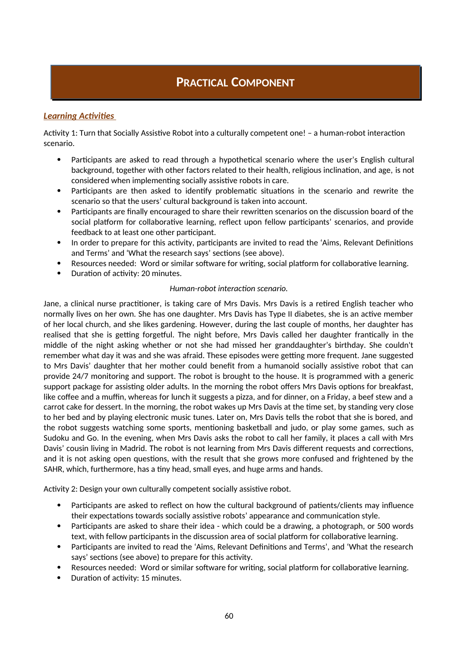## **PRACTICAL COMPONENT**

## *Learning Activities*

Activity 1: Turn that Socially Assistive Robot into a culturally competent one! – a human-robot interaction scenario.

- Participants are asked to read through a hypothetical scenario where the user's English cultural background, together with other factors related to their health, religious inclination, and age, is not considered when implementing socially assistive robots in care.
- Participants are then asked to identify problematic situations in the scenario and rewrite the scenario so that the users' cultural background is taken into account.
- Participants are finally encouraged to share their rewritten scenarios on the discussion board of the social platform for collaborative learning, reflect upon fellow participants' scenarios, and provide feedback to at least one other participant.
- In order to prepare for this activity, participants are invited to read the 'Aims, Relevant Definitions and Terms' and 'What the research says' sections (see above).
- Resources needed: Word or similar software for writing, social platform for collaborative learning.
- Duration of activity: 20 minutes.

#### *Human-robot interaction scenario.*

Jane, a clinical nurse practitioner, is taking care of Mrs Davis. Mrs Davis is a retired English teacher who normally lives on her own. She has one daughter. Mrs Davis has Type II diabetes, she is an active member of her local church, and she likes gardening. However, during the last couple of months, her daughter has realised that she is getting forgetful. The night before, Mrs Davis called her daughter frantically in the middle of the night asking whether or not she had missed her granddaughter's birthday. She couldn't remember what day it was and she was afraid. These episodes were getting more frequent. Jane suggested to Mrs Davis' daughter that her mother could benefit from a humanoid socially assistive robot that can provide 24/7 monitoring and support. The robot is brought to the house. It is programmed with a generic support package for assisting older adults. In the morning the robot offers Mrs Davis options for breakfast, like coffee and a muffin, whereas for lunch it suggests a pizza, and for dinner, on a Friday, a beef stew and a carrot cake for dessert. In the morning, the robot wakes up Mrs Davis at the time set, by standing very close to her bed and by playing electronic music tunes. Later on, Mrs Davis tells the robot that she is bored, and the robot suggests watching some sports, mentioning basketball and judo, or play some games, such as Sudoku and Go. In the evening, when Mrs Davis asks the robot to call her family, it places a call with Mrs Davis' cousin living in Madrid. The robot is not learning from Mrs Davis different requests and corrections, and it is not asking open questions, with the result that she grows more confused and frightened by the SAHR, which, furthermore, has a tiny head, small eyes, and huge arms and hands.

Activity 2: Design your own culturally competent socially assistive robot.

- Participants are asked to reflect on how the cultural background of patients/clients may influence their expectations towards socially assistive robots' appearance and communication style.
- Participants are asked to share their idea which could be a drawing, a photograph, or 500 words text, with fellow participants in the discussion area of social platform for collaborative learning.
- Participants are invited to read the 'Aims, Relevant Definitions and Terms', and 'What the research says' sections (see above) to prepare for this activity.
- Resources needed: Word or similar software for writing, social platform for collaborative learning.
- Duration of activity: 15 minutes.